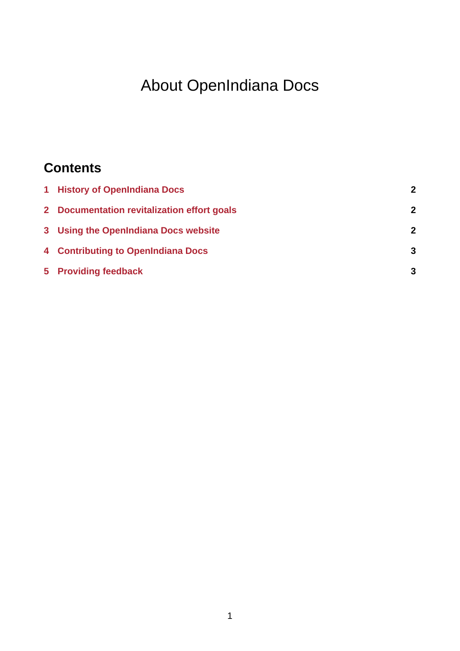# About OpenIndiana Docs

### **Contents**

| 1 History of OpenIndiana Docs               | 2 |
|---------------------------------------------|---|
| 2 Documentation revitalization effort goals | 2 |
| 3 Using the OpenIndiana Docs website        | 2 |
| 4 Contributing to OpenIndiana Docs          | 3 |
| 5 Providing feedback                        | 3 |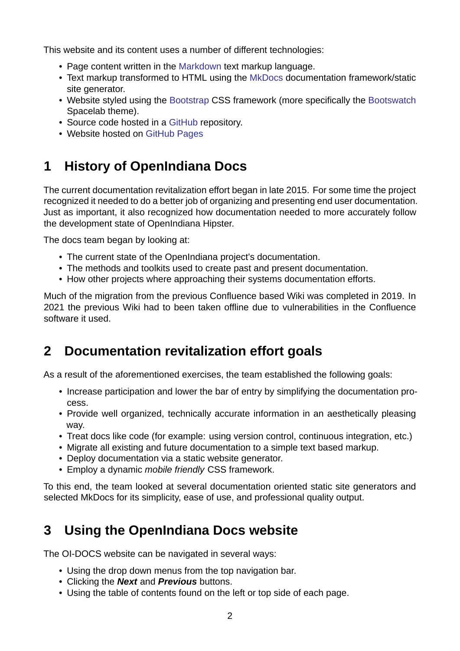This website and its content uses a number of different technologies:

- Page content written in the Markdown text markup language.
- Text markup transformed to HTML using the MkDocs documentation framework/static site generator.
- Website styled using the B[ootstrap](https://daringfireball.net/projects/markdown/) CSS framework (more specifically the Bootswatch Spacelab theme).
- Source code hosted in a GitHub repository.
- Website hosted on GitH[ub Pages](http://getbootstrap.com/)

# **1 History of O[penIndian](https://pages.github.com/)a Docs**

<span id="page-1-0"></span>The current documentation revitalization effort began in late 2015. For some time the project recognized it needed to do a better job of organizing and presenting end user documentation. Just as important, it also recognized how documentation needed to more accurately follow the development state of OpenIndiana Hipster.

The docs team began by looking at:

- The current state of the OpenIndiana project's documentation.
- The methods and toolkits used to create past and present documentation.
- How other projects where approaching their systems documentation efforts.

Much of the migration from the previous Confluence based Wiki was completed in 2019. In 2021 the previous Wiki had to been taken offline due to vulnerabilities in the Confluence software it used.

#### **2 Documentation revitalization effort goals**

<span id="page-1-1"></span>As a result of the aforementioned exercises, the team established the following goals:

- Increase participation and lower the bar of entry by simplifying the documentation process.
- Provide well organized, technically accurate information in an aesthetically pleasing way.
- Treat docs like code (for example: using version control, continuous integration, etc.)
- Migrate all existing and future documentation to a simple text based markup.
- Deploy documentation via a static website generator.
- Employ a dynamic *mobile friendly* CSS framework.

To this end, the team looked at several documentation oriented static site generators and selected MkDocs for its simplicity, ease of use, and professional quality output.

### **3 Using the OpenIndiana Docs website**

<span id="page-1-2"></span>The OI-DOCS website can be navigated in several ways:

- Using the drop down menus from the top navigation bar.
- Clicking the *Next* and *Previous* buttons.
- Using the table of contents found on the left or top side of each page.